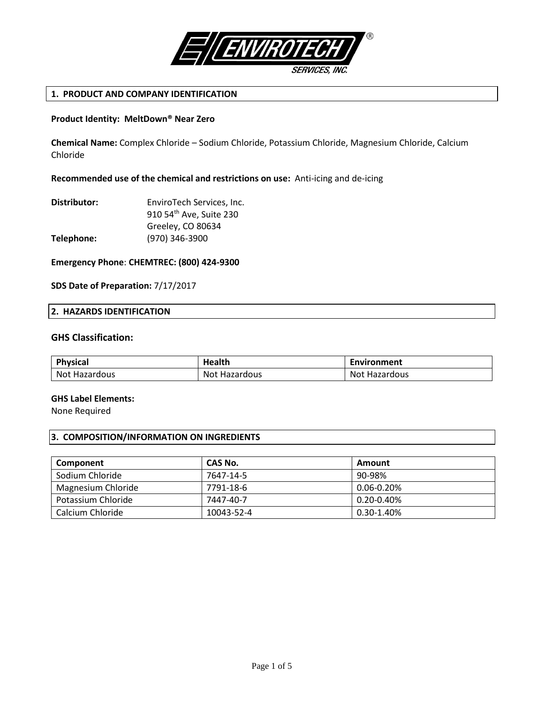

# **1. PRODUCT AND COMPANY IDENTIFICATION**

## **Product Identity: MeltDown® Near Zero**

**Chemical Name:** Complex Chloride – Sodium Chloride, Potassium Chloride, Magnesium Chloride, Calcium Chloride

## **Recommended use of the chemical and restrictions on use:** Anti-icing and de-icing

| Distributor: | EnviroTech Services, Inc.           |
|--------------|-------------------------------------|
|              | 910 54 <sup>th</sup> Ave, Suite 230 |
|              | Greeley, CO 80634                   |
| Telephone:   | (970) 346-3900                      |

# **Emergency Phone**: **CHEMTREC: (800) 424-9300**

## **SDS Date of Preparation:** 7/17/2017

## **2. HAZARDS IDENTIFICATION**

# **GHS Classification:**

| Physical             | Health               | Environment      |
|----------------------|----------------------|------------------|
| <b>Not Hazardous</b> | <b>Not Hazardous</b> | Not<br>Hazardous |

### **GHS Label Elements:**

None Required

# **3. COMPOSITION/INFORMATION ON INGREDIENTS**

| Component          | CAS No.    | Amount          |
|--------------------|------------|-----------------|
| Sodium Chloride    | 7647-14-5  | 90-98%          |
| Magnesium Chloride | 7791-18-6  | $0.06 - 0.20\%$ |
| Potassium Chloride | 7447-40-7  | $0.20 - 0.40\%$ |
| Calcium Chloride   | 10043-52-4 | $0.30 - 1.40\%$ |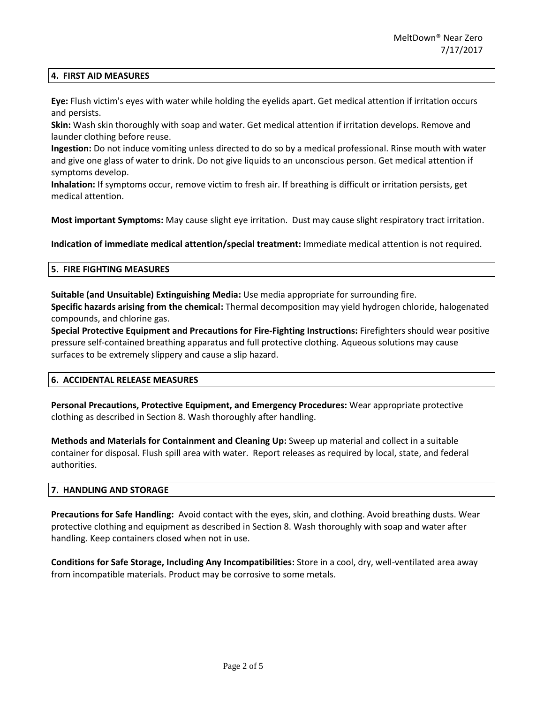## **4. FIRST AID MEASURES**

**Eye:** Flush victim's eyes with water while holding the eyelids apart. Get medical attention if irritation occurs and persists.

**Skin:** Wash skin thoroughly with soap and water. Get medical attention if irritation develops. Remove and launder clothing before reuse.

**Ingestion:** Do not induce vomiting unless directed to do so by a medical professional. Rinse mouth with water and give one glass of water to drink. Do not give liquids to an unconscious person. Get medical attention if symptoms develop.

**Inhalation:** If symptoms occur, remove victim to fresh air. If breathing is difficult or irritation persists, get medical attention.

**Most important Symptoms:** May cause slight eye irritation. Dust may cause slight respiratory tract irritation.

**Indication of immediate medical attention/special treatment:** Immediate medical attention is not required.

#### **5. FIRE FIGHTING MEASURES**

**Suitable (and Unsuitable) Extinguishing Media:** Use media appropriate for surrounding fire.

**Specific hazards arising from the chemical:** Thermal decomposition may yield hydrogen chloride, halogenated compounds, and chlorine gas.

**Special Protective Equipment and Precautions for Fire-Fighting Instructions:** Firefighters should wear positive pressure self-contained breathing apparatus and full protective clothing. Aqueous solutions may cause surfaces to be extremely slippery and cause a slip hazard.

## **6. ACCIDENTAL RELEASE MEASURES**

**Personal Precautions, Protective Equipment, and Emergency Procedures:** Wear appropriate protective clothing as described in Section 8. Wash thoroughly after handling.

**Methods and Materials for Containment and Cleaning Up:** Sweep up material and collect in a suitable container for disposal. Flush spill area with water. Report releases as required by local, state, and federal authorities.

### **7. HANDLING AND STORAGE**

**Precautions for Safe Handling:** Avoid contact with the eyes, skin, and clothing. Avoid breathing dusts. Wear protective clothing and equipment as described in Section 8. Wash thoroughly with soap and water after handling. Keep containers closed when not in use.

**Conditions for Safe Storage, Including Any Incompatibilities:** Store in a cool, dry, well-ventilated area away from incompatible materials. Product may be corrosive to some metals.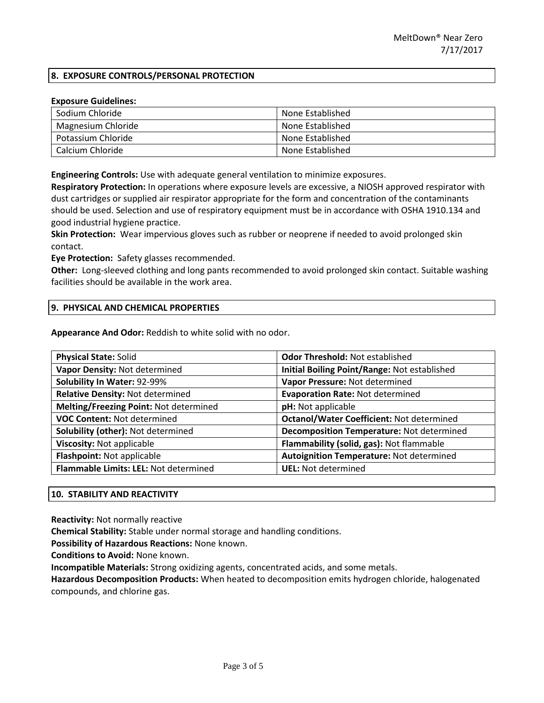# **8. EXPOSURE CONTROLS/PERSONAL PROTECTION**

### **Exposure Guidelines:**

| Sodium Chloride    | None Established |
|--------------------|------------------|
| Magnesium Chloride | None Established |
| Potassium Chloride | None Established |
| Calcium Chloride   | None Established |

**Engineering Controls:** Use with adequate general ventilation to minimize exposures.

**Respiratory Protection:** In operations where exposure levels are excessive, a NIOSH approved respirator with dust cartridges or supplied air respirator appropriate for the form and concentration of the contaminants should be used. Selection and use of respiratory equipment must be in accordance with OSHA 1910.134 and good industrial hygiene practice.

**Skin Protection:** Wear impervious gloves such as rubber or neoprene if needed to avoid prolonged skin contact.

**Eye Protection:** Safety glasses recommended.

**Other:** Long-sleeved clothing and long pants recommended to avoid prolonged skin contact. Suitable washing facilities should be available in the work area.

### **9. PHYSICAL AND CHEMICAL PROPERTIES**

**Appearance And Odor:** Reddish to white solid with no odor.

| <b>Physical State: Solid</b>           | <b>Odor Threshold: Not established</b>           |  |
|----------------------------------------|--------------------------------------------------|--|
| Vapor Density: Not determined          | Initial Boiling Point/Range: Not established     |  |
| Solubility In Water: 92-99%            | Vapor Pressure: Not determined                   |  |
| Relative Density: Not determined       | <b>Evaporation Rate: Not determined</b>          |  |
| Melting/Freezing Point: Not determined | pH: Not applicable                               |  |
| <b>VOC Content: Not determined</b>     | <b>Octanol/Water Coefficient: Not determined</b> |  |
| Solubility (other): Not determined     | <b>Decomposition Temperature: Not determined</b> |  |
| Viscosity: Not applicable              | Flammability (solid, gas): Not flammable         |  |
| Flashpoint: Not applicable             | Autoignition Temperature: Not determined         |  |
| Flammable Limits: LEL: Not determined  | <b>UEL: Not determined</b>                       |  |

### **10. STABILITY AND REACTIVITY**

**Reactivity:** Not normally reactive

**Chemical Stability:** Stable under normal storage and handling conditions.

**Possibility of Hazardous Reactions:** None known.

**Conditions to Avoid:** None known.

**Incompatible Materials:** Strong oxidizing agents, concentrated acids, and some metals.

**Hazardous Decomposition Products:** When heated to decomposition emits hydrogen chloride, halogenated compounds, and chlorine gas.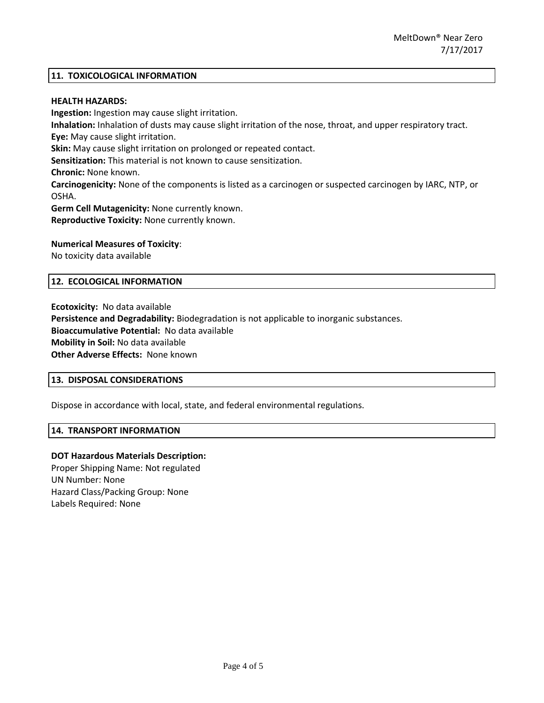## **11. TOXICOLOGICAL INFORMATION**

### **HEALTH HAZARDS:**

**Ingestion:** Ingestion may cause slight irritation. **Inhalation:** Inhalation of dusts may cause slight irritation of the nose, throat, and upper respiratory tract. **Eye:** May cause slight irritation. **Skin:** May cause slight irritation on prolonged or repeated contact. **Sensitization:** This material is not known to cause sensitization. **Chronic:** None known. **Carcinogenicity:** None of the components is listed as a carcinogen or suspected carcinogen by IARC, NTP, or OSHA. **Germ Cell Mutagenicity:** None currently known. **Reproductive Toxicity:** None currently known.

## **Numerical Measures of Toxicity**:

No toxicity data available

#### **12. ECOLOGICAL INFORMATION**

**Ecotoxicity:** No data available **Persistence and Degradability:** Biodegradation is not applicable to inorganic substances. **Bioaccumulative Potential:** No data available **Mobility in Soil:** No data available **Other Adverse Effects:** None known

## **13. DISPOSAL CONSIDERATIONS**

Dispose in accordance with local, state, and federal environmental regulations.

#### **14. TRANSPORT INFORMATION**

### **DOT Hazardous Materials Description:**

Proper Shipping Name: Not regulated UN Number: None Hazard Class/Packing Group: None Labels Required: None